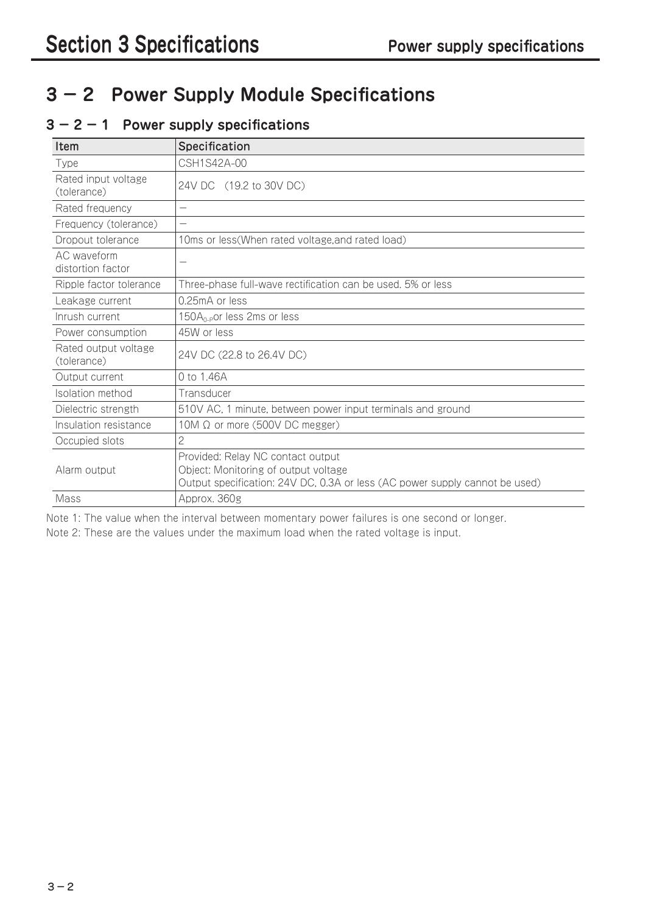# **3 − 2 Power Supply Module Specifications**

## **3 − 2 − 1 Power supply specifications**

| <b>Item</b>                         | Specification                                                                                                                                            |  |
|-------------------------------------|----------------------------------------------------------------------------------------------------------------------------------------------------------|--|
| Type                                | CSH1S42A-00                                                                                                                                              |  |
| Rated input voltage<br>(tolerance)  | 24V DC (19.2 to 30V DC)                                                                                                                                  |  |
| Rated frequency                     | $\overline{\phantom{m}}$                                                                                                                                 |  |
| Frequency (tolerance)               |                                                                                                                                                          |  |
| Dropout tolerance                   | 10ms or less(When rated voltage, and rated load)                                                                                                         |  |
| AC waveform<br>distortion factor    | $\overline{\phantom{0}}$                                                                                                                                 |  |
| Ripple factor tolerance             | Three-phase full-wave rectification can be used. 5% or less                                                                                              |  |
| Leakage current                     | 0.25mA or less                                                                                                                                           |  |
| Inrush current                      | 150A <sub>0-P</sub> or less 2ms or less                                                                                                                  |  |
| Power consumption                   | 45W or less                                                                                                                                              |  |
| Rated output voltage<br>(tolerance) | 24V DC (22.8 to 26.4V DC)                                                                                                                                |  |
| Output current                      | 0 to 1.46A                                                                                                                                               |  |
| Isolation method                    | Transducer                                                                                                                                               |  |
| Dielectric strength                 | 510V AC, 1 minute, between power input terminals and ground                                                                                              |  |
| Insulation resistance               | 10M Ω or more (500V DC megger)                                                                                                                           |  |
| Occupied slots                      | 2                                                                                                                                                        |  |
| Alarm output                        | Provided: Relay NC contact output<br>Object: Monitoring of output voltage<br>Output specification: 24V DC, 0.3A or less (AC power supply cannot be used) |  |
| Mass                                | Approx. 360g                                                                                                                                             |  |

Note 1: The value when the interval between momentary power failures is one second or longer.

Note 2: These are the values under the maximum load when the rated voltage is input.